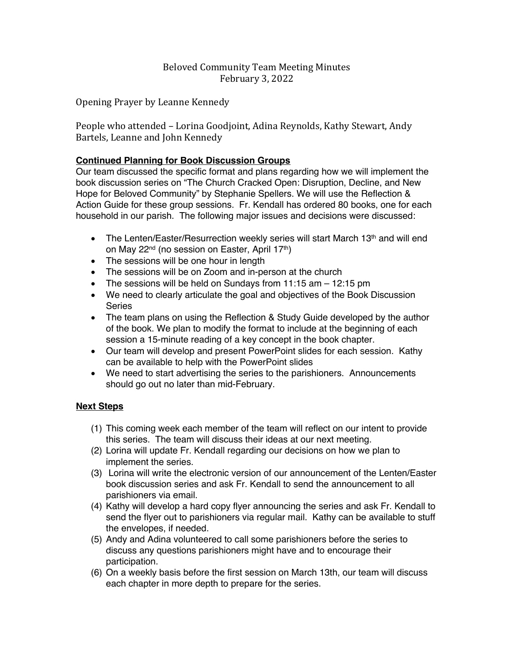## Beloved Community Team Meeting Minutes February 3, 2022

Opening Prayer by Leanne Kennedy

People who attended – Lorina Goodjoint, Adina Reynolds, Kathy Stewart, Andy Bartels, Leanne and John Kennedy

## **Continued Planning for Book Discussion Groups**

Our team discussed the specific format and plans regarding how we will implement the book discussion series on "The Church Cracked Open: Disruption, Decline, and New Hope for Beloved Community" by Stephanie Spellers. We will use the Reflection & Action Guide for these group sessions. Fr. Kendall has ordered 80 books, one for each household in our parish. The following major issues and decisions were discussed:

- The Lenten/Easter/Resurrection weekly series will start March 13<sup>th</sup> and will end on May 22<sup>nd</sup> (no session on Easter, April 17<sup>th</sup>)
- The sessions will be one hour in length
- The sessions will be on Zoom and in-person at the church
- The sessions will be held on Sundays from 11:15 am 12:15 pm
- We need to clearly articulate the goal and objectives of the Book Discussion Series
- The team plans on using the Reflection & Study Guide developed by the author of the book. We plan to modify the format to include at the beginning of each session a 15-minute reading of a key concept in the book chapter.
- Our team will develop and present PowerPoint slides for each session. Kathy can be available to help with the PowerPoint slides
- We need to start advertising the series to the parishioners. Announcements should go out no later than mid-February.

## **Next Steps**

- (1) This coming week each member of the team will reflect on our intent to provide this series. The team will discuss their ideas at our next meeting.
- (2) Lorina will update Fr. Kendall regarding our decisions on how we plan to implement the series.
- (3) Lorina will write the electronic version of our announcement of the Lenten/Easter book discussion series and ask Fr. Kendall to send the announcement to all parishioners via email.
- (4) Kathy will develop a hard copy flyer announcing the series and ask Fr. Kendall to send the flyer out to parishioners via regular mail. Kathy can be available to stuff the envelopes, if needed.
- (5) Andy and Adina volunteered to call some parishioners before the series to discuss any questions parishioners might have and to encourage their participation.
- (6) On a weekly basis before the first session on March 13th, our team will discuss each chapter in more depth to prepare for the series.